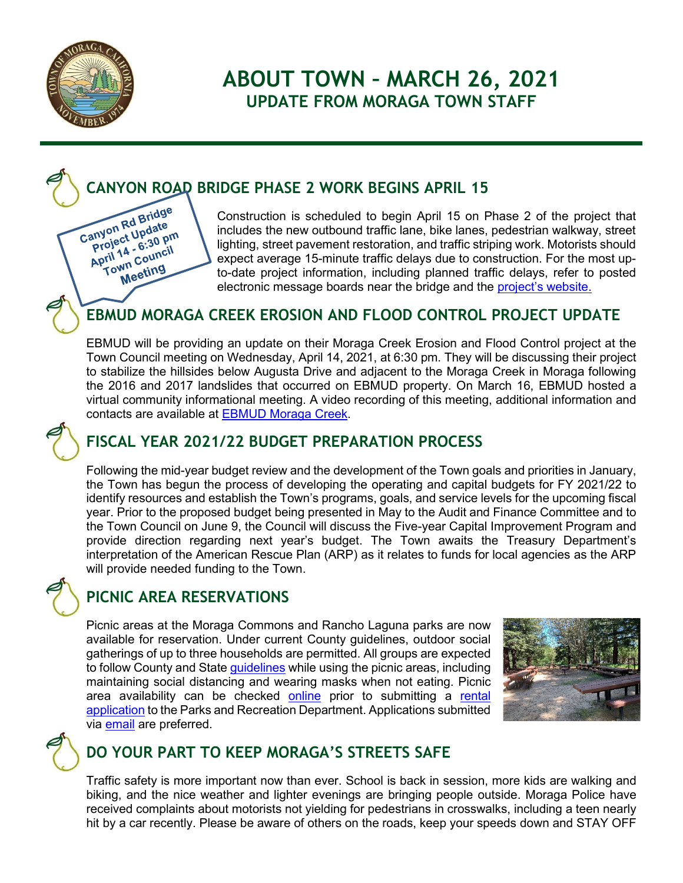

Canyon Rd Bridge<br>Canyon Rd Bridge<br>Project Lega pri anyon Rd Bridge<br>Project Update<br>Project 4 - 6:30 pr anyon Rupdate<br>Project Update<br>Project Update<br>April 14 - 6:30 pm roject - 6:30 Pm<br>pril 14 - 6:30 Pm<br>Town Council **Mn Coung** 

# **ABOUT TOWN – MARCH 26, 2021 UPDATE FROM MORAGA TOWN STAFF**

# **CANYON ROAD BRIDGE PHASE 2 WORK BEGINS APRIL 15**

Construction is scheduled to begin April 15 on Phase 2 of the project that includes the new outbound traffic lane, bike lanes, pedestrian walkway, street lighting, street pavement restoration, and traffic striping work. Motorists should expect average 15-minute traffic delays due to construction. For the most upto-date project information, including planned traffic delays, refer to posted electronic message boards near the bridge and the [project's website.](https://www.moraga.ca.us/189/Canyon-Road-Bridge-Replacement-Project)

## **EBMUD MORAGA CREEK EROSION AND FLOOD CONTROL PROJECT UPDATE**

EBMUD will be providing an update on their Moraga Creek Erosion and Flood Control project at the Town Council meeting on Wednesday, April 14, 2021, at 6:30 pm. They will be discussing their project to stabilize the hillsides below Augusta Drive and adjacent to the Moraga Creek in Moraga following the 2016 and 2017 landslides that occurred on EBMUD property. On March 16, EBMUD hosted a virtual community informational meeting. A video recording of this meeting, additional information and contacts are available at [EBMUD Moraga Creek.](http://www.ebmud.com/moragacreek)



### **FISCAL YEAR 2021/22 BUDGET PREPARATION PROCESS**

Following the mid-year budget review and the development of the Town goals and priorities in January, the Town has begun the process of developing the operating and capital budgets for FY 2021/22 to identify resources and establish the Town's programs, goals, and service levels for the upcoming fiscal year. Prior to the proposed budget being presented in May to the Audit and Finance Committee and to the Town Council on June 9, the Council will discuss the Five-year Capital Improvement Program and provide direction regarding next year's budget. The Town awaits the Treasury Department's interpretation of the American Rescue Plan (ARP) as it relates to funds for local agencies as the ARP will provide needed funding to the Town.



## **PICNIC AREA RESERVATIONS**

Picnic areas at the Moraga Commons and Rancho Laguna parks are now available for reservation. Under current County guidelines, outdoor social gatherings of up to three households are permitted. All groups are expected to follow County and State [guidelines](https://www.coronavirus.cchealth.org/health-services-updates) while using the picnic areas, including maintaining social distancing and wearing masks when not eating. Picnic area availability can be checked [online](https://secure.rec1.com/CA/moraga-parks-recreation/catalog/index?filter=dGFiJTVCMzglNUQ9MSZzZWFyY2g9) prior to submitting a rental [application](https://www.moraga.ca.us/DocumentCenter/View/476/Moraga-Commons-Reserve-Picnic-Area-Application-PDF) to the Parks and Recreation Department. Applications submitted via [email](mailto:recdesk@moraga.ca.us) are preferred.





### **DO YOUR PART TO KEEP MORAGA'S STREETS SAFE**

Traffic safety is more important now than ever. School is back in session, more kids are walking and biking, and the nice weather and lighter evenings are bringing people outside. Moraga Police have received complaints about motorists not yielding for pedestrians in crosswalks, including a teen nearly hit by a car recently. Please be aware of others on the roads, keep your speeds down and STAY OFF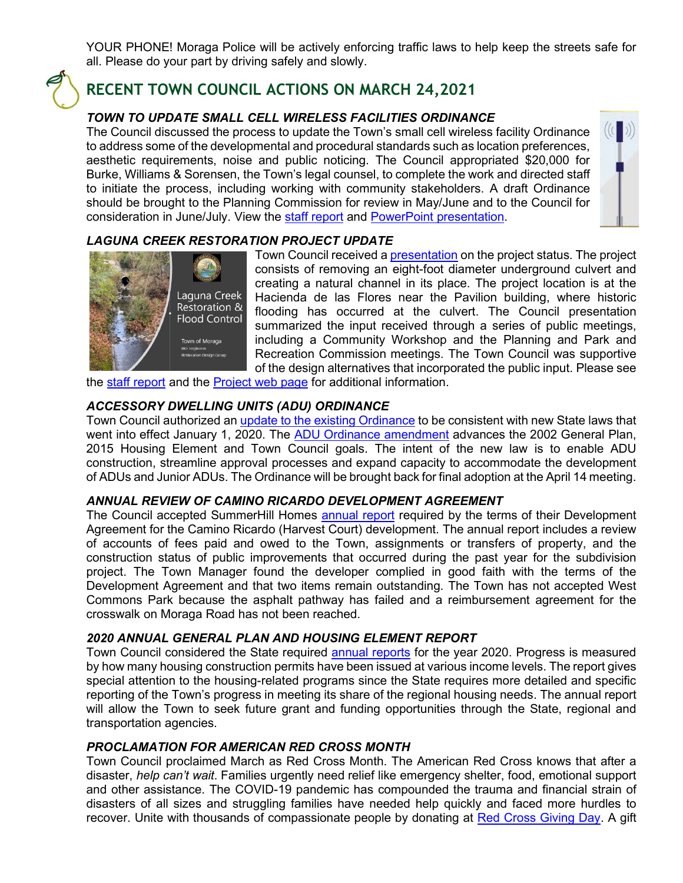YOUR PHONE! Moraga Police will be actively enforcing traffic laws to help keep the streets safe for all. Please do your part by driving safely and slowly.



### **RECENT TOWN COUNCIL ACTIONS ON MARCH 24,2021**

#### *TOWN TO UPDATE SMALL CELL WIRELESS FACILITIES ORDINANCE*

The Council discussed the process to update the Town's small cell wireless facility Ordinance to address some of the developmental and procedural standards such as location preferences, aesthetic requirements, noise and public noticing. The Council appropriated \$20,000 for Burke, Williams & Sorensen, the Town's legal counsel, to complete the work and directed staff to initiate the process, including working with community stakeholders. A draft Ordinance should be brought to the Planning Commission for review in May/June and to the Council for consideration in June/July. View the [staff report](https://www.moraga.ca.us/DocumentCenter/View/5780/Council-03-24-21-Small-Cell-Wireless-Process-PDF) and [PowerPoint presentation.](https://www.moraga.ca.us/DocumentCenter/View/5800/03-24-21-PowerPoint-for-Small-Cell-Wireless-Ord-Process-PDF)



#### *LAGUNA CREEK RESTORATION PROJECT UPDATE*



Town Council received a [presentation](https://www.moraga.ca.us/DocumentCenter/View/5796/03-24-21-PowerPoint-Presentation-by-BKF-Consultants-PDF) on the project status. The project consists of removing an eight-foot diameter underground culvert and creating a natural channel in its place. The project location is at the Hacienda de las Flores near the Pavilion building, where historic flooding has occurred at the culvert. The Council presentation summarized the input received through a series of public meetings, including a Community Workshop and the Planning and Park and Recreation Commission meetings. The Town Council was supportive of the design alternatives that incorporated the public input. Please see

the [staff report](https://www.moraga.ca.us/DocumentCenter/View/5777/Council-03-24-21-Laguna-Creek-Restoration-Update-PDF) and the [Project web page](https://www.moraga.ca.us/465/Laguna-Creek-Restoration-Project) for additional information.

#### *ACCESSORY DWELLING UNITS (ADU) ORDINANCE*

Town Council authorized an [update to the existing Ordinance](https://www.moraga.ca.us/DocumentCenter/View/5776/Council-03-24-21-ADU-Ordinance-1st-Reading-PDF) to be consistent with new State laws that went into effect January 1, 2020. The [ADU Ordinance amendment](https://www.moraga.ca.us/DocumentCenter/View/5798/3-24-21-PowerPoint-for-ADU-Ordinance-PDF) advances the 2002 General Plan, 2015 Housing Element and Town Council goals. The intent of the new law is to enable ADU construction, streamline approval processes and expand capacity to accommodate the development of ADUs and Junior ADUs. The Ordinance will be brought back for final adoption at the April 14 meeting.

#### *ANNUAL REVIEW OF CAMINO RICARDO DEVELOPMENT AGREEMENT*

The Council accepted SummerHill Homes [annual report](https://www.moraga.ca.us/DocumentCenter/View/5774/Council-03-24-21-Camino-Ricardo-Harvest-Ct-DA-Annual-Report-PDF) required by the terms of their Development Agreement for the Camino Ricardo (Harvest Court) development. The annual report includes a review of accounts of fees paid and owed to the Town, assignments or transfers of property, and the construction status of public improvements that occurred during the past year for the subdivision project. The Town Manager found the developer complied in good faith with the terms of the Development Agreement and that two items remain outstanding. The Town has not accepted West Commons Park because the asphalt pathway has failed and a reimbursement agreement for the crosswalk on Moraga Road has not been reached.

#### *2020 ANNUAL GENERAL PLAN AND HOUSING ELEMENT REPORT*

Town Council considered the State required [annual reports](https://www.moraga.ca.us/DocumentCenter/View/5779/Council-03-24-21-Annual-General-Plan-and-Housing-Elements-Reports-PDF) for the year 2020. Progress is measured by how many housing construction permits have been issued at various income levels. The report gives special attention to the housing-related programs since the State requires more detailed and specific reporting of the Town's progress in meeting its share of the regional housing needs. The annual report will allow the Town to seek future grant and funding opportunities through the State, regional and transportation agencies.

#### *PROCLAMATION FOR AMERICAN RED CROSS MONTH*

Town Council proclaimed March as Red Cross Month. The American Red Cross knows that after a disaster, *help can't wait*. Families urgently need relief like emergency shelter, food, emotional support and other assistance. The COVID-19 pandemic has compounded the trauma and financial strain of disasters of all sizes and struggling families have needed help quickly and faced more hurdles to recover. Unite with thousands of compassionate people by donating at [Red Cross Giving Day.](https://www.redcross.org/donations/ways-to-donate/giving-day.html) A gift